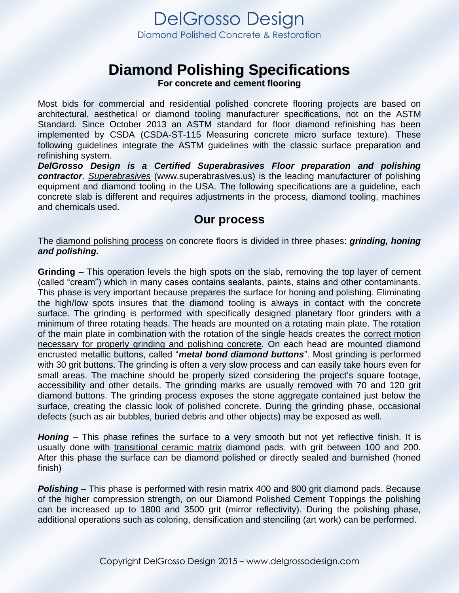DelGrosso Design Diamond Polished Concrete & Restoration

# **Diamond Polishing Specifications**

**For concrete and cement flooring**

Most bids for commercial and residential polished concrete flooring projects are based on architectural, aesthetical or diamond tooling manufacturer specifications, not on the ASTM Standard. Since October 2013 an ASTM standard for floor diamond refinishing has been implemented by CSDA (CSDA-ST-115 Measuring concrete micro surface texture). These following guidelines integrate the ASTM guidelines with the classic surface preparation and refinishing system.

*DelGrosso Design is a Certified Superabrasives Floor preparation and polishing contractor*. *Superabrasives* (www.superabrasives.us) is the leading manufacturer of polishing equipment and diamond tooling in the USA. The following specifications are a guideline, each concrete slab is different and requires adjustments in the process, diamond tooling, machines and chemicals used.

### **Our process**

The diamond polishing process on concrete floors is divided in three phases: *grinding, honing and polishing.* 

**Grinding** – This operation levels the high spots on the slab, removing the top layer of cement (called "cream") which in many cases contains sealants, paints, stains and other contaminants. This phase is very important because prepares the surface for honing and polishing. Eliminating the high/low spots insures that the diamond tooling is always in contact with the concrete surface. The grinding is performed with specifically designed planetary floor grinders with a minimum of three rotating heads. The heads are mounted on a rotating main plate. The rotation of the main plate in combination with the rotation of the single heads creates the correct motion necessary for properly grinding and polishing concrete. On each head are mounted diamond encrusted metallic buttons, called "*metal bond diamond buttons*". Most grinding is performed with 30 grit buttons. The grinding is often a very slow process and can easily take hours even for small areas. The machine should be properly sized considering the project's square footage, accessibility and other details. The grinding marks are usually removed with 70 and 120 grit diamond buttons. The grinding process exposes the stone aggregate contained just below the surface, creating the classic look of polished concrete. During the grinding phase, occasional defects (such as air bubbles, buried debris and other objects) may be exposed as well.

*Honing* – This phase refines the surface to a very smooth but not yet reflective finish. It is usually done with transitional ceramic matrix diamond pads, with grit between 100 and 200. After this phase the surface can be diamond polished or directly sealed and burnished (honed finish)

**Polishing** – This phase is performed with resin matrix 400 and 800 grit diamond pads. Because of the higher compression strength, on our Diamond Polished Cement Toppings the polishing can be increased up to 1800 and 3500 grit (mirror reflectivity). During the polishing phase, additional operations such as coloring, densification and stenciling (art work) can be performed.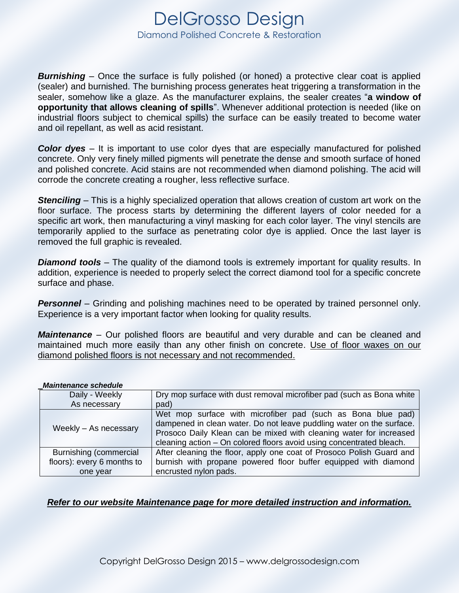## DelGrosso Design Diamond Polished Concrete & Restoration

**Burnishing** – Once the surface is fully polished (or honed) a protective clear coat is applied (sealer) and burnished. The burnishing process generates heat triggering a transformation in the sealer, somehow like a glaze. As the manufacturer explains, the sealer creates "**a window of opportunity that allows cleaning of spills**". Whenever additional protection is needed (like on industrial floors subject to chemical spills) the surface can be easily treated to become water and oil repellant, as well as acid resistant.

*Color dyes* – It is important to use color dyes that are especially manufactured for polished concrete. Only very finely milled pigments will penetrate the dense and smooth surface of honed and polished concrete. Acid stains are not recommended when diamond polishing. The acid will corrode the concrete creating a rougher, less reflective surface.

**Stenciling** – This is a highly specialized operation that allows creation of custom art work on the floor surface. The process starts by determining the different layers of color needed for a specific art work, then manufacturing a vinyl masking for each color layer. The vinyl stencils are temporarily applied to the surface as penetrating color dye is applied. Once the last layer is removed the full graphic is revealed.

*Diamond tools* – The quality of the diamond tools is extremely important for quality results. In addition, experience is needed to properly select the correct diamond tool for a specific concrete surface and phase.

**Personnel** – Grinding and polishing machines need to be operated by trained personnel only. Experience is a very important factor when looking for quality results.

*Maintenance* – Our polished floors are beautiful and very durable and can be cleaned and maintained much more easily than any other finish on concrete. Use of floor waxes on our diamond polished floors is not necessary and not recommended.

#### *Maintenance schedule*

| Daily - Weekly             | Dry mop surface with dust removal microfiber pad (such as Bona white                                                                                                                                                                                                              |
|----------------------------|-----------------------------------------------------------------------------------------------------------------------------------------------------------------------------------------------------------------------------------------------------------------------------------|
| As necessary               | pad)                                                                                                                                                                                                                                                                              |
| Weekly - As necessary      | Wet mop surface with microfiber pad (such as Bona blue pad)<br>dampened in clean water. Do not leave puddling water on the surface.<br>Prosoco Daily Klean can be mixed with cleaning water for increased<br>cleaning action - On colored floors avoid using concentrated bleach. |
| Burnishing (commercial     | After cleaning the floor, apply one coat of Prosoco Polish Guard and                                                                                                                                                                                                              |
| floors): every 6 months to | burnish with propane powered floor buffer equipped with diamond                                                                                                                                                                                                                   |
| one year                   | encrusted nylon pads.                                                                                                                                                                                                                                                             |

#### *Refer to our website Maintenance page for more detailed instruction and information.*